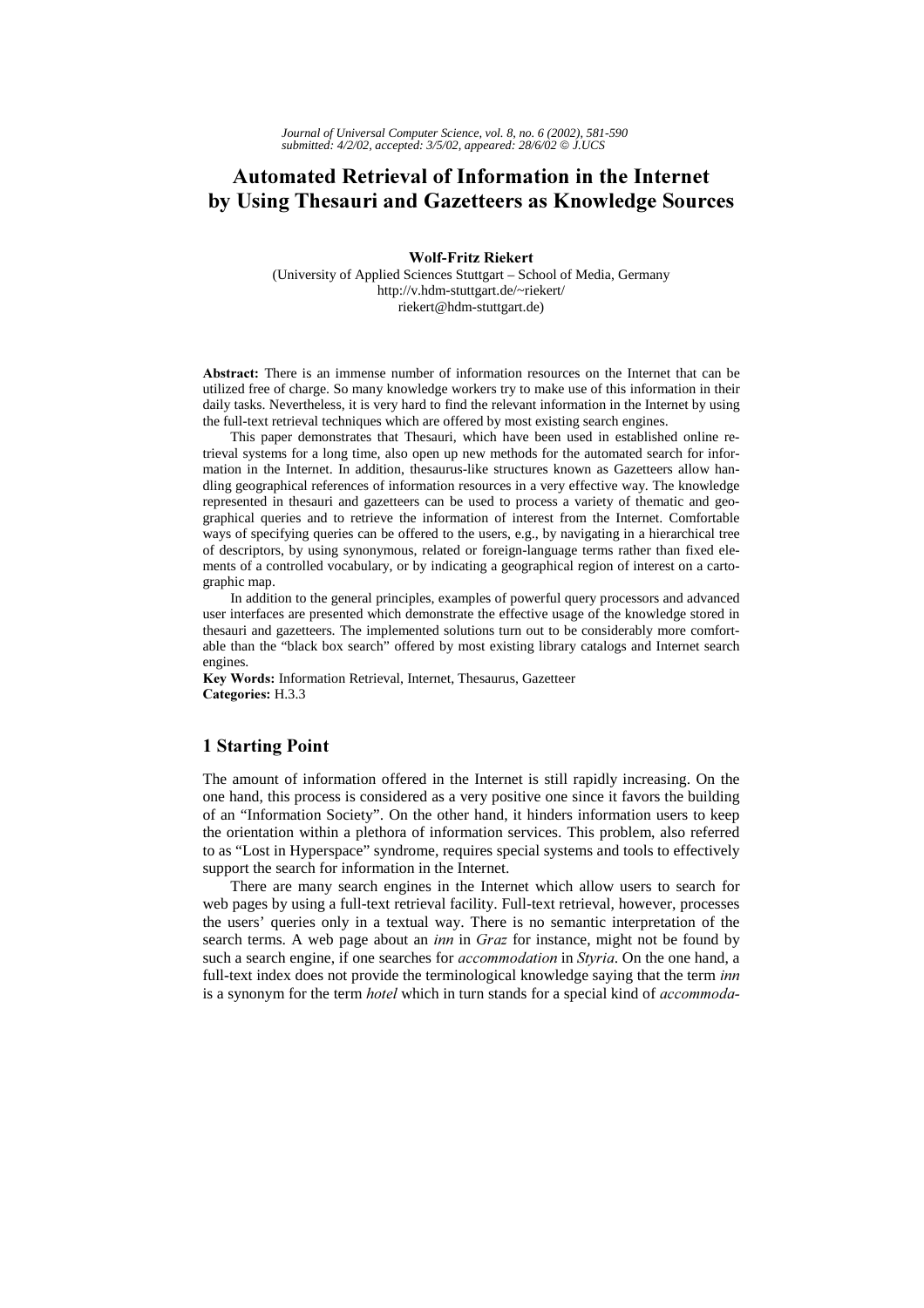# **Automated Retrieval of Information in the Internet** by Using Thesauri and Gazetteers as Knowledge Sources

Wolf-Fritz Riekert

(University of Applied Sciences Stuttgart – School of Media, Germany http://v.hdm-stuttgart.de/~riekert/ riekert@hdm-stuttgart.de)

Abstract: There is an immense number of information resources on the Internet that can be utilized free of charge. So many knowledge workers try to make use of this information in their daily tasks. Nevertheless, it is very hard to find the relevant information in the Internet by using the full-text retrieval techniques which are offered by most existing search engines.

This paper demonstrates that Thesauri, which have been used in established online retrieval systems for a long time, also open up new methods for the automated search for information in the Internet. In addition, thesaurus-like structures known as Gazetteers allow handling geographical references of information resources in a very effective way. The knowledge represented in thesauri and gazetteers can be used to process a variety of thematic and geographical queries and to retrieve the information of interest from the Internet. Comfortable ways of specifying queries can be offered to the users, e.g., by navigating in a hierarchical tree of descriptors, by using synonymous, related or foreign-language terms rather than fixed elements of a controlled vocabulary, or by indicating a geographical region of interest on a cartographic map.

In addition to the general principles, examples of powerful query processors and advanced user interfaces are presented which demonstrate the effective usage of the knowledge stored in thesauri and gazetteers. The implemented solutions turn out to be considerably more comfortable than the "black box search" offered by most existing library catalogs and Internet search engines.

Key Words: Information Retrieval, Internet, Thesaurus, Gazetteer Categories: H.3.3

## **1 Starting Point**

The amount of information offered in the Internet is still rapidly increasing. On the one hand, this process is considered as a very positive one since it favors the building of an "Information Society". On the other hand, it hinders information users to keep the orientation within a plethora of information services. This problem, also referred to as "Lost in Hyperspace" syndrome, requires special systems and tools to effectively support the search for information in the Internet.

There are many search engines in the Internet which allow users to search for web pages by using a full-text retrieval facility. Full-text retrieval, however, processes the users' queries only in a textual way. There is no semantic interpretation of the search terms. A web page about an *inn* in Graz for instance, might not be found by such a search engine, if one searches for *accommodation* in Styria. On the one hand, a full-text index does not provide the terminological knowledge saying that the term inn is a synonym for the term *hotel* which in turn stands for a special kind of *accommoda*-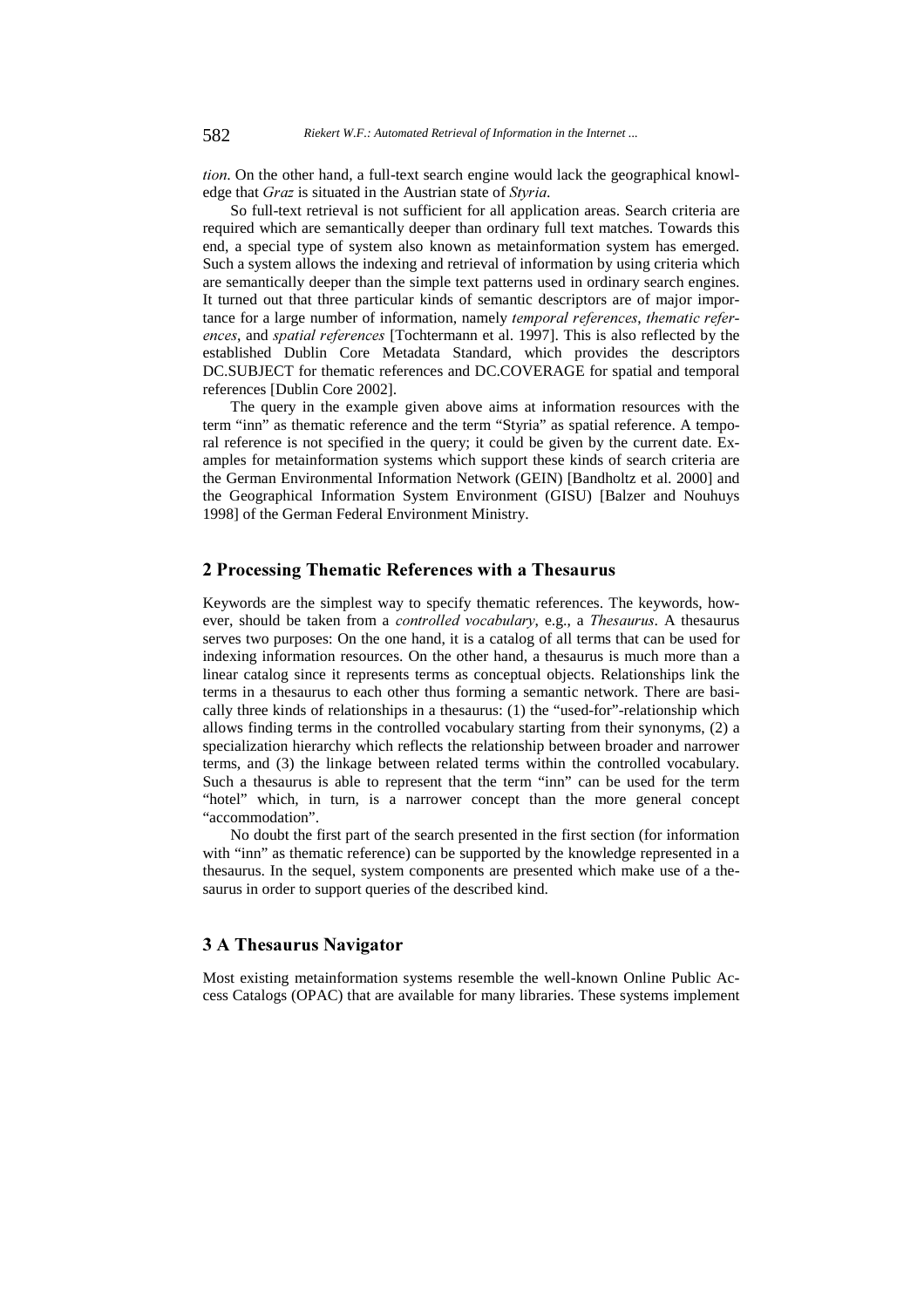tion. On the other hand, a full-text search engine would lack the geographical knowledge that Graz is situated in the Austrian state of Styria.

So full-text retrieval is not sufficient for all application areas. Search criteria are required which are semantically deeper than ordinary full text matches. Towards this end, a special type of system also known as metainformation system has emerged. Such a system allows the indexing and retrieval of information by using criteria which are semantically deeper than the simple text patterns used in ordinary search engines. It turned out that three particular kinds of semantic descriptors are of major importance for a large number of information, namely temporal references, thematic references, and spatial references [Tochtermann et al. 1997]. This is also reflected by the established Dublin Core Metadata Standard, which provides the descriptors DC.SUBJECT for thematic references and DC.COVERAGE for spatial and temporal references [Dublin Core 2002].

The query in the example given above aims at information resources with the term "inn" as thematic reference and the term "Styria" as spatial reference. A temporal reference is not specified in the query; it could be given by the current date. Examples for metainformation systems which support these kinds of search criteria are the German Environmental Information Network (GEIN) [Bandholtz et al. 2000] and the Geographical Information System Environment (GISU) [Balzer and Nouhuys 1998] of the German Federal Environment Ministry.

## 2 Processing Thematic References with a Thesaurus

Keywords are the simplest way to specify thematic references. The keywords, however, should be taken from a *controlled vocabulary*, e.g., a Thesaurus. A thesaurus serves two purposes: On the one hand, it is a catalog of all terms that can be used for indexing information resources. On the other hand, a thesaurus is much more than a linear catalog since it represents terms as conceptual objects. Relationships link the terms in a thesaurus to each other thus forming a semantic network. There are basically three kinds of relationships in a thesaurus: (1) the "used-for"-relationship which allows finding terms in the controlled vocabulary starting from their synonyms, (2) a specialization hierarchy which reflects the relationship between broader and narrower terms, and (3) the linkage between related terms within the controlled vocabulary. Such a thesaurus is able to represent that the term "inn" can be used for the term "hotel" which, in turn, is a narrower concept than the more general concept "accommodation".

No doubt the first part of the search presented in the first section (for information with "inn" as thematic reference) can be supported by the knowledge represented in a thesaurus. In the sequel, system components are presented which make use of a thesaurus in order to support queries of the described kind.

## 3 A Thesaurus Navigator

Most existing metainformation systems resemble the well-known Online Public Access Catalogs (OPAC) that are available for many libraries. These systems implement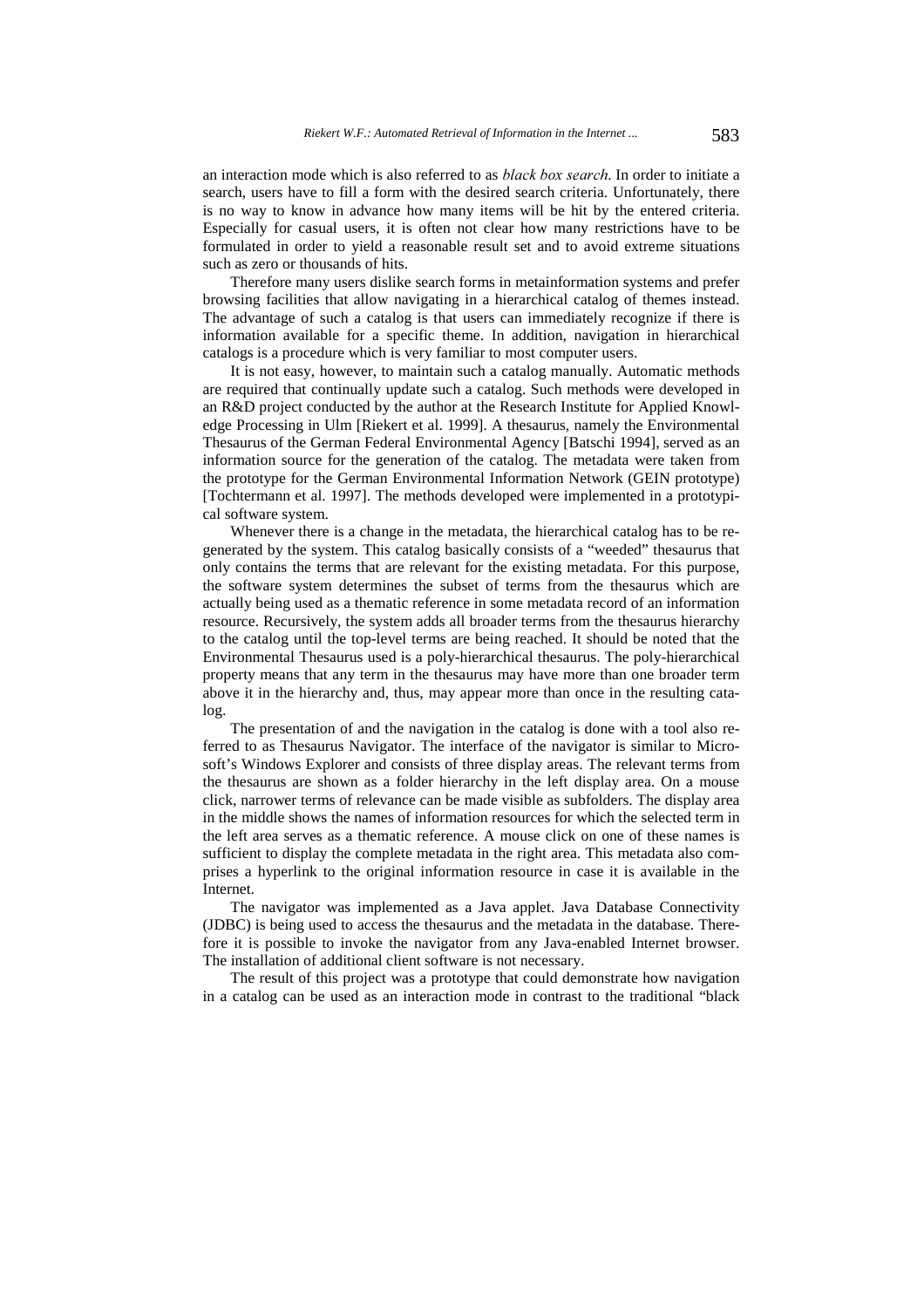an interaction mode which is also referred to as *black box search*. In order to initiate a search, users have to fill a form with the desired search criteria. Unfortunately, there is no way to know in advance how many items will be hit by the entered criteria. Especially for casual users, it is often not clear how many restrictions have to be formulated in order to yield a reasonable result set and to avoid extreme situations such as zero or thousands of hits.

Therefore many users dislike search forms in metainformation systems and prefer browsing facilities that allow navigating in a hierarchical catalog of themes instead. The advantage of such a catalog is that users can immediately recognize if there is information available for a specific theme. In addition, navigation in hierarchical catalogs is a procedure which is very familiar to most computer users.

It is not easy, however, to maintain such a catalog manually. Automatic methods are required that continually update such a catalog. Such methods were developed in an R&D project conducted by the author at the Research Institute for Applied Knowledge Processing in Ulm [Riekert et al. 1999]. A thesaurus, namely the Environmental Thesaurus of the German Federal Environmental Agency [Batschi 1994], served as an information source for the generation of the catalog. The metadata were taken from the prototype for the German Environmental Information Network (GEIN prototype) [Tochtermann et al. 1997]. The methods developed were implemented in a prototypical software system.

Whenever there is a change in the metadata, the hierarchical catalog has to be regenerated by the system. This catalog basically consists of a "weeded" thesaurus that only contains the terms that are relevant for the existing metadata. For this purpose, the software system determines the subset of terms from the thesaurus which are actually being used as a thematic reference in some metadata record of an information resource. Recursively, the system adds all broader terms from the thesaurus hierarchy to the catalog until the top-level terms are being reached. It should be noted that the Environmental Thesaurus used is a poly-hierarchical thesaurus. The poly-hierarchical property means that any term in the thesaurus may have more than one broader term above it in the hierarchy and, thus, may appear more than once in the resulting catalog.

The presentation of and the navigation in the catalog is done with a tool also referred to as Thesaurus Navigator. The interface of the navigator is similar to Microsoft's Windows Explorer and consists of three display areas. The relevant terms from the thesaurus are shown as a folder hierarchy in the left display area. On a mouse click, narrower terms of relevance can be made visible as subfolders. The display area in the middle shows the names of information resources for which the selected term in the left area serves as a thematic reference. A mouse click on one of these names is sufficient to display the complete metadata in the right area. This metadata also comprises a hyperlink to the original information resource in case it is available in the Internet.

The navigator was implemented as a Java applet. Java Database Connectivity (JDBC) is being used to access the thesaurus and the metadata in the database. Therefore it is possible to invoke the navigator from any Java-enabled Internet browser. The installation of additional client software is not necessary.

The result of this project was a prototype that could demonstrate how navigation in a catalog can be used as an interaction mode in contrast to the traditional "black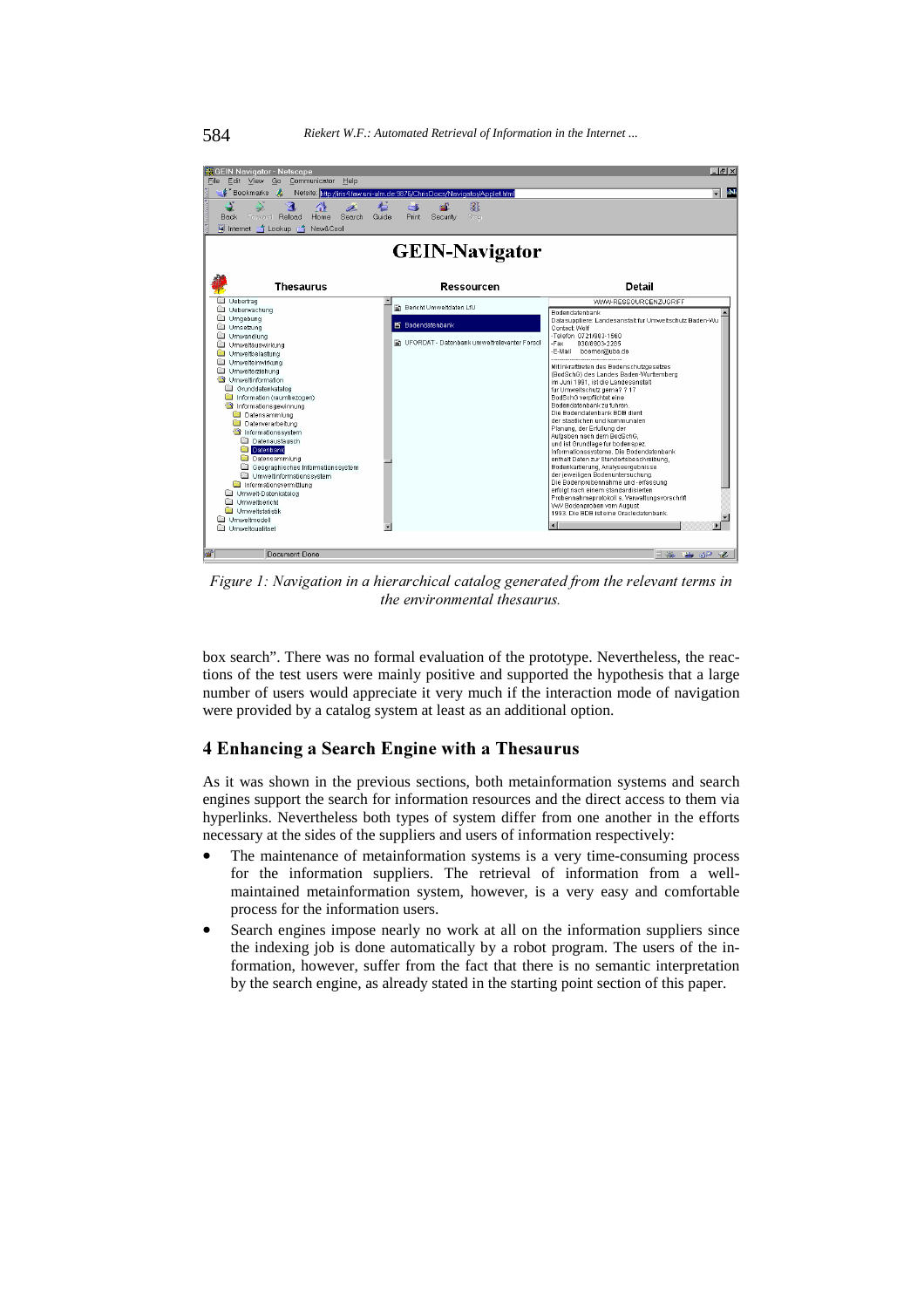| <b>KGEIN Navigator - Netscape</b><br>Edit View<br>Go<br>Communicator<br>File<br>Help                                                                                                                                                                                                                                                                                                                                                                                                                                                                                       |                                                                                                          | $-17 \times$                                                                                                                                                                                                                                                                                                                                                                                                                                                                                                                                                                                                                                                                                                                                                                                                                                                                                                                                                                                             |
|----------------------------------------------------------------------------------------------------------------------------------------------------------------------------------------------------------------------------------------------------------------------------------------------------------------------------------------------------------------------------------------------------------------------------------------------------------------------------------------------------------------------------------------------------------------------------|----------------------------------------------------------------------------------------------------------|----------------------------------------------------------------------------------------------------------------------------------------------------------------------------------------------------------------------------------------------------------------------------------------------------------------------------------------------------------------------------------------------------------------------------------------------------------------------------------------------------------------------------------------------------------------------------------------------------------------------------------------------------------------------------------------------------------------------------------------------------------------------------------------------------------------------------------------------------------------------------------------------------------------------------------------------------------------------------------------------------------|
| <b>E</b> Bookmarks<br>A                                                                                                                                                                                                                                                                                                                                                                                                                                                                                                                                                    | Netsite: http://iris4.faw.uni-ulm.de:9876/ChrisDocs/Navigator/Applet.html                                | <b>N</b>                                                                                                                                                                                                                                                                                                                                                                                                                                                                                                                                                                                                                                                                                                                                                                                                                                                                                                                                                                                                 |
| B.<br>Reload<br>Search<br>Back<br>Forward<br>Home<br>国 Internet f 1 Lookup f 1<br>New&Cool                                                                                                                                                                                                                                                                                                                                                                                                                                                                                 | 3<br>ங்<br>Ġ.<br>Guide<br>Print<br>Security<br>Stop                                                      |                                                                                                                                                                                                                                                                                                                                                                                                                                                                                                                                                                                                                                                                                                                                                                                                                                                                                                                                                                                                          |
| <b>GEIN-Navigator</b>                                                                                                                                                                                                                                                                                                                                                                                                                                                                                                                                                      |                                                                                                          |                                                                                                                                                                                                                                                                                                                                                                                                                                                                                                                                                                                                                                                                                                                                                                                                                                                                                                                                                                                                          |
| Thesaurus                                                                                                                                                                                                                                                                                                                                                                                                                                                                                                                                                                  | Ressourcen                                                                                               | <b>Detail</b>                                                                                                                                                                                                                                                                                                                                                                                                                                                                                                                                                                                                                                                                                                                                                                                                                                                                                                                                                                                            |
| Uebertrag<br>Ueberwachung<br>Umgebung<br>Umsetzung<br>Umwandlung<br>Umweltauswirkung<br>Umweltbelastung<br>Umwelteinwirkung<br>Umwelterziehung<br>Umweltinformation<br>Grunddatenkatalog<br>Information (raumbezogen)<br>Informationsgewinnung<br>Datensammlung<br>Datenverarbeitung<br>Informationssystem<br>Datenaustausch<br><b>Datenbank</b><br>Datensammlung<br>Geographisches Informationssystem<br>Umweltinformationssystem<br>Informationsvermittlung<br>Umwelt-Datenkatalog<br>Umwelthericht<br><b>Film</b><br>Umweltstatistik<br>Umweltmodell<br>Umweltgualitaet | B Bericht Umweltdaten LfU<br><b>百 Bodendatenbank</b><br>Fill UFORDAT - Datenbank umweltrelevanter Forsch | WWW-RESSOURCENZUGRIFF<br>Bodendatenbank<br>Datasuppliere: Landesanstalt fur Umweltschutz Baden-Wu<br>Contact Wolf<br>-Telefon 0721/983-1560<br>-Fax<br>030/8903-2285<br>E-Mail boemer@uba.de<br><br>Mit Inkrafttreten des Bodenschutzgesetzes<br>(BodSchG) des Landes Baden-Wurttemberg<br>im Juni 1991, ist die Landesanstalt<br>fur Umweltschutz gema? ? 17<br>BodSchG verpflichtet eine<br>Bodendatenbank zu fuhren.<br>Die Bodendatenbank BDB dient<br>der staatlichen und kommunalen<br>Planung, der Erfullung der<br>Aufgaben nach dem BodSchG,<br>und ist Grundlage fur bodenspez.<br>Informations systeme. Die Bodendatenbank<br>enthalt Daten zur Standortsbeschreibung,<br>Bodenkartierung, Analyseergebnisse<br>der jeweiligen Bodenuntersuchung.<br>Die Bodenprobennahme und -erfassung<br>erfolgt nach einem standardisierten<br>Probennahmeprotokoll s. Verwaltungsvorschrift<br>VwV Bodenproben vom August<br>1993. Die BDB ist eine Oracledatenbank.<br>$\blacksquare$<br>$\blacksquare$ |
| తా<br>Document Done                                                                                                                                                                                                                                                                                                                                                                                                                                                                                                                                                        |                                                                                                          | 目器<br><b>MD</b>                                                                                                                                                                                                                                                                                                                                                                                                                                                                                                                                                                                                                                                                                                                                                                                                                                                                                                                                                                                          |

Figure 1: Navigation in a hierarchical catalog generated from the relevant terms in the environmental thesaurus.

box search". There was no formal evaluation of the prototype. Nevertheless, the reactions of the test users were mainly positive and supported the hypothesis that a large number of users would appreciate it very much if the interaction mode of navigation were provided by a catalog system at least as an additional option.

## 4 Enhancing a Search Engine with a Thesaurus

As it was shown in the previous sections, both metainformation systems and search engines support the search for information resources and the direct access to them via hyperlinks. Nevertheless both types of system differ from one another in the efforts necessary at the sides of the suppliers and users of information respectively:

- The maintenance of metainformation systems is a very time-consuming process for the information suppliers. The retrieval of information from a wellmaintained metainformation system, however, is a very easy and comfortable process for the information users.
- Search engines impose nearly no work at all on the information suppliers since the indexing job is done automatically by a robot program. The users of the information, however, suffer from the fact that there is no semantic interpretation by the search engine, as already stated in the starting point section of this paper.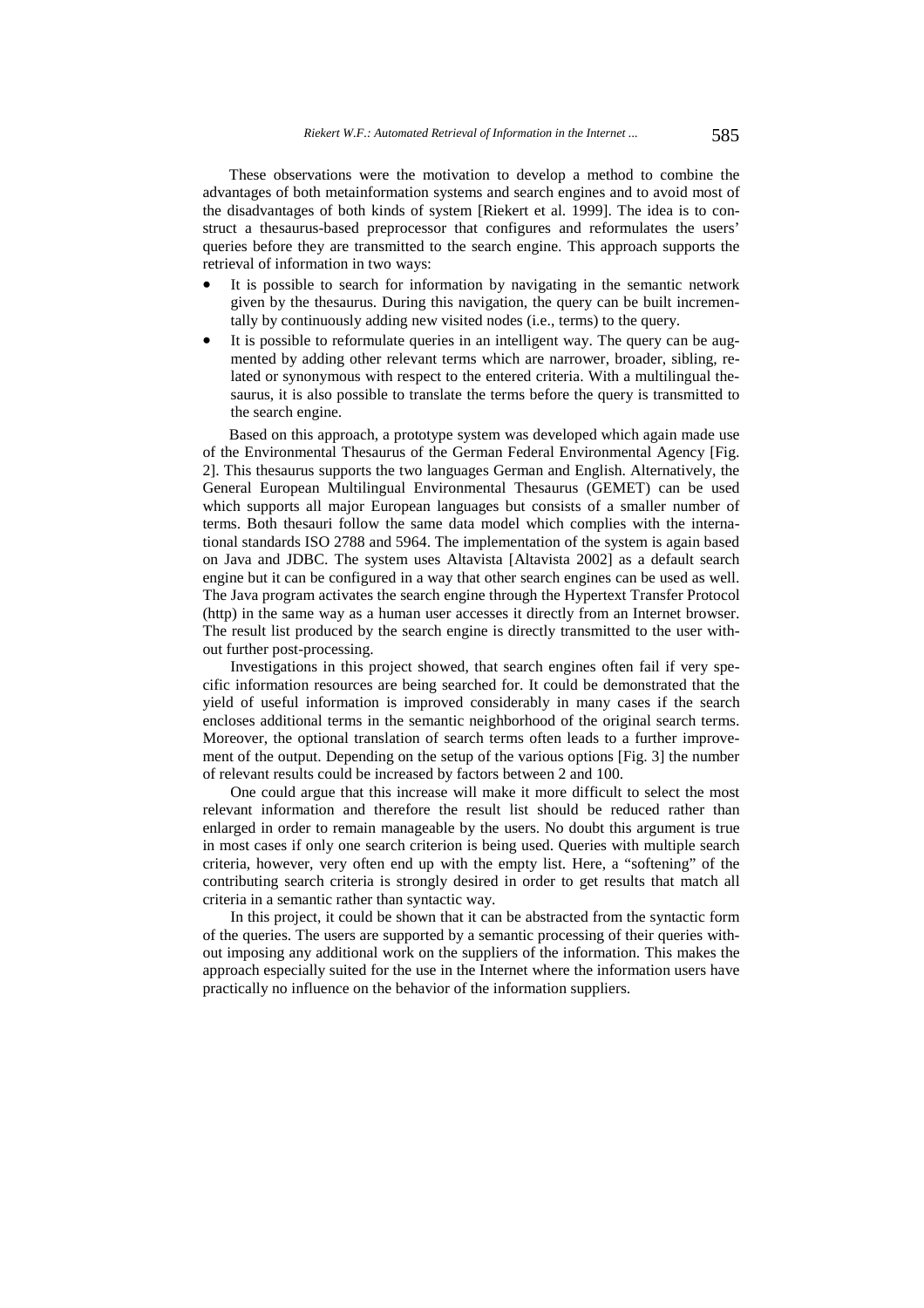These observations were the motivation to develop a method to combine the advantages of both metainformation systems and search engines and to avoid most of the disadvantages of both kinds of system [Riekert et al. 1999]. The idea is to construct a thesaurus-based preprocessor that configures and reformulates the users' queries before they are transmitted to the search engine. This approach supports the retrieval of information in two ways:

- It is possible to search for information by navigating in the semantic network given by the thesaurus. During this navigation, the query can be built incrementally by continuously adding new visited nodes (i.e., terms) to the query.
- It is possible to reformulate queries in an intelligent way. The query can be augmented by adding other relevant terms which are narrower, broader, sibling, related or synonymous with respect to the entered criteria. With a multilingual thesaurus, it is also possible to translate the terms before the query is transmitted to the search engine.

Based on this approach, a prototype system was developed which again made use of the Environmental Thesaurus of the German Federal Environmental Agency [Fig. 2]. This thesaurus supports the two languages German and English. Alternatively, the General European Multilingual Environmental Thesaurus (GEMET) can be used which supports all major European languages but consists of a smaller number of terms. Both thesauri follow the same data model which complies with the international standards ISO 2788 and 5964. The implementation of the system is again based on Java and JDBC. The system uses Altavista [Altavista 2002] as a default search engine but it can be configured in a way that other search engines can be used as well. The Java program activates the search engine through the Hypertext Transfer Protocol (http) in the same way as a human user accesses it directly from an Internet browser. The result list produced by the search engine is directly transmitted to the user without further post-processing.

Investigations in this project showed, that search engines often fail if very specific information resources are being searched for. It could be demonstrated that the yield of useful information is improved considerably in many cases if the search encloses additional terms in the semantic neighborhood of the original search terms. Moreover, the optional translation of search terms often leads to a further improvement of the output. Depending on the setup of the various options [Fig. 3] the number of relevant results could be increased by factors between 2 and 100.

One could argue that this increase will make it more difficult to select the most relevant information and therefore the result list should be reduced rather than enlarged in order to remain manageable by the users. No doubt this argument is true in most cases if only one search criterion is being used. Queries with multiple search criteria, however, very often end up with the empty list. Here, a "softening" of the contributing search criteria is strongly desired in order to get results that match all criteria in a semantic rather than syntactic way.

In this project, it could be shown that it can be abstracted from the syntactic form of the queries. The users are supported by a semantic processing of their queries without imposing any additional work on the suppliers of the information. This makes the approach especially suited for the use in the Internet where the information users have practically no influence on the behavior of the information suppliers.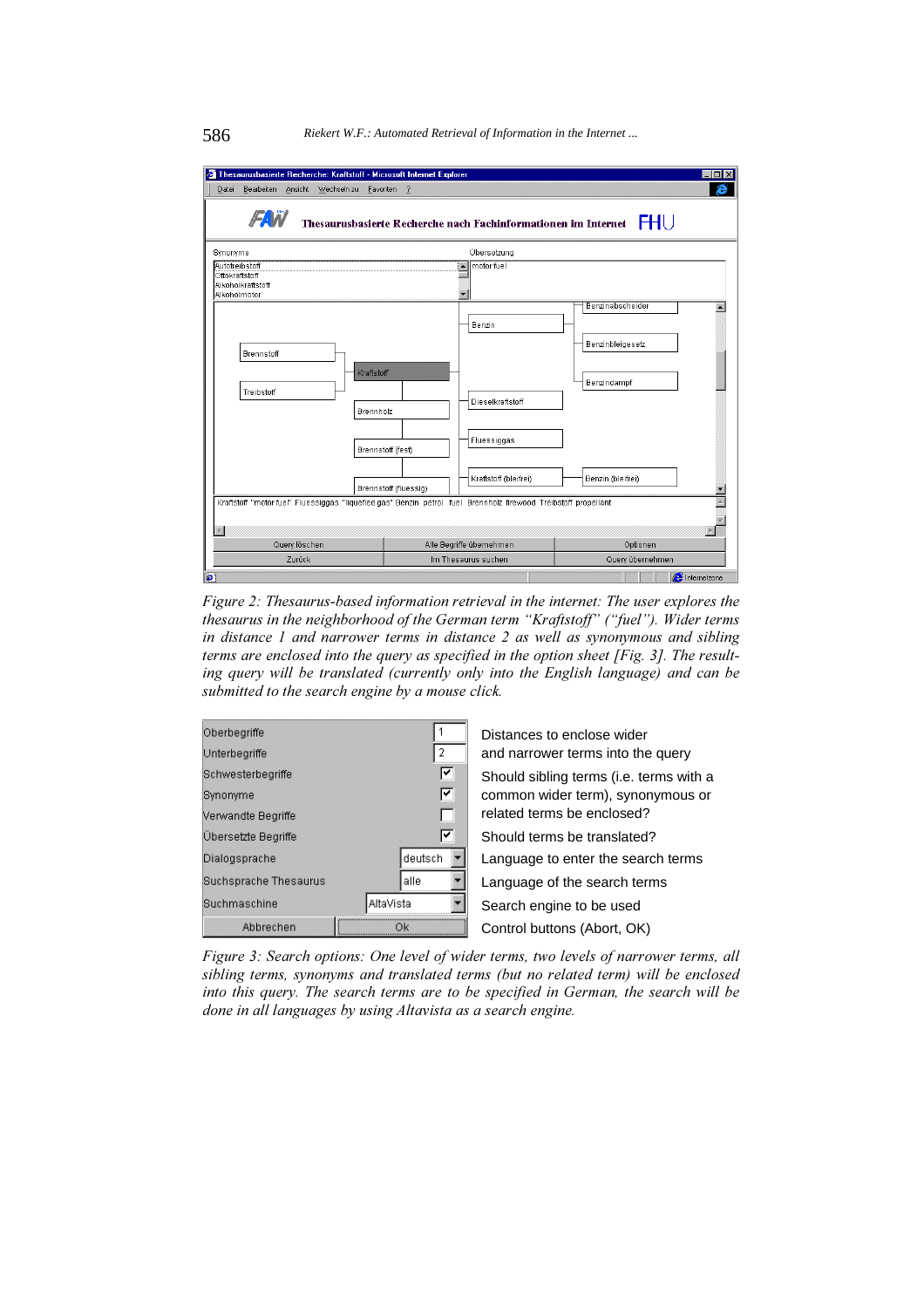

Figure 2: Thesaurus-based information retrieval in the internet: The user explores the thesaurus in the neighborhood of the German term "Kraftstoff" ("fuel"). Wider terms in distance 1 and narrower terms in distance 2 as well as synonymous and sibling terms are enclosed into the query as specified in the option sheet [Fig. 3]. The resulting query will be translated (currently only into the English language) and can be submitted to the search engine by a mouse click.



Figure 3: Search options: One level of wider terms, two levels of narrower terms, all sibling terms, synonyms and translated terms (but no related term) will be enclosed into this query. The search terms are to be specified in German, the search will be done in all languages by using Altavista as a search engine.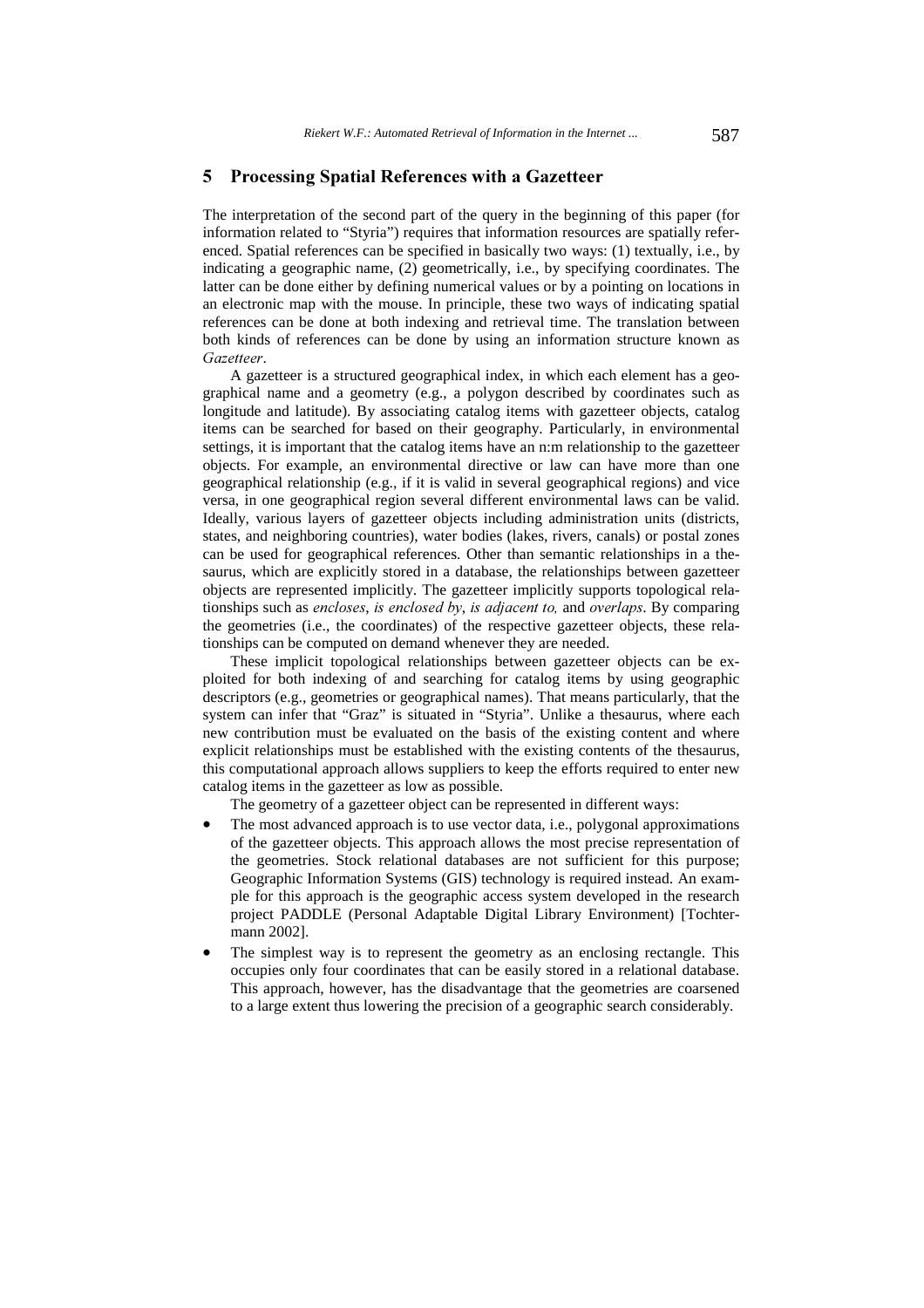## 5 Processing Spatial References with a Gazetteer

The interpretation of the second part of the query in the beginning of this paper (for information related to "Styria") requires that information resources are spatially referenced. Spatial references can be specified in basically two ways: (1) textually, i.e., by indicating a geographic name, (2) geometrically, i.e., by specifying coordinates. The latter can be done either by defining numerical values or by a pointing on locations in an electronic map with the mouse. In principle, these two ways of indicating spatial references can be done at both indexing and retrieval time. The translation between both kinds of references can be done by using an information structure known as Gazetteer.

A gazetteer is a structured geographical index, in which each element has a geographical name and a geometry (e.g., a polygon described by coordinates such as longitude and latitude). By associating catalog items with gazetteer objects, catalog items can be searched for based on their geography. Particularly, in environmental settings, it is important that the catalog items have an n:m relationship to the gazetteer objects. For example, an environmental directive or law can have more than one geographical relationship (e.g., if it is valid in several geographical regions) and vice versa, in one geographical region several different environmental laws can be valid. Ideally, various layers of gazetteer objects including administration units (districts, states, and neighboring countries), water bodies (lakes, rivers, canals) or postal zones can be used for geographical references. Other than semantic relationships in a thesaurus, which are explicitly stored in a database, the relationships between gazetteer objects are represented implicitly. The gazetteer implicitly supports topological relationships such as encloses, is enclosed by, is adjacent to, and overlaps. By comparing the geometries (i.e., the coordinates) of the respective gazetteer objects, these relationships can be computed on demand whenever they are needed.

These implicit topological relationships between gazetteer objects can be exploited for both indexing of and searching for catalog items by using geographic descriptors (e.g., geometries or geographical names). That means particularly, that the system can infer that "Graz" is situated in "Styria". Unlike a thesaurus, where each new contribution must be evaluated on the basis of the existing content and where explicit relationships must be established with the existing contents of the thesaurus, this computational approach allows suppliers to keep the efforts required to enter new catalog items in the gazetteer as low as possible.

The geometry of a gazetteer object can be represented in different ways:

- The most advanced approach is to use vector data, i.e., polygonal approximations of the gazetteer objects. This approach allows the most precise representation of the geometries. Stock relational databases are not sufficient for this purpose; Geographic Information Systems (GIS) technology is required instead. An example for this approach is the geographic access system developed in the research project PADDLE (Personal Adaptable Digital Library Environment) [Tochtermann 2002].
- The simplest way is to represent the geometry as an enclosing rectangle. This occupies only four coordinates that can be easily stored in a relational database. This approach, however, has the disadvantage that the geometries are coarsened to a large extent thus lowering the precision of a geographic search considerably.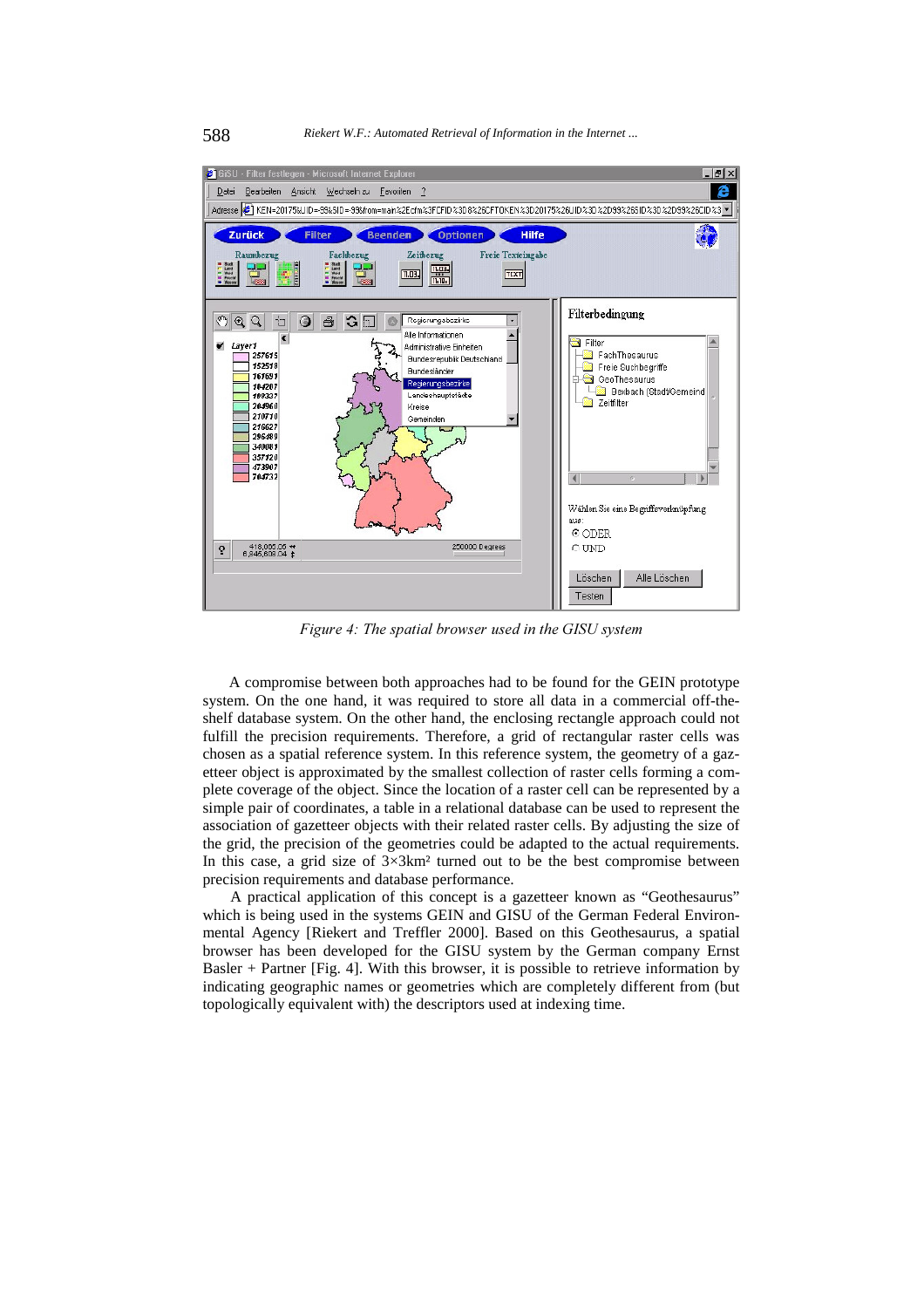

Figure 4: The spatial browser used in the GISU system

A compromise between both approaches had to be found for the GEIN prototype system. On the one hand, it was required to store all data in a commercial off-theshelf database system. On the other hand, the enclosing rectangle approach could not fulfill the precision requirements. Therefore, a grid of rectangular raster cells was chosen as a spatial reference system. In this reference system, the geometry of a gazetteer object is approximated by the smallest collection of raster cells forming a complete coverage of the object. Since the location of a raster cell can be represented by a simple pair of coordinates, a table in a relational database can be used to represent the association of gazetteer objects with their related raster cells. By adjusting the size of the grid, the precision of the geometries could be adapted to the actual requirements. In this case, a grid size of  $3\times3$ km<sup>2</sup> turned out to be the best compromise between precision requirements and database performance.

A practical application of this concept is a gazetteer known as "Geothesaurus" which is being used in the systems GEIN and GISU of the German Federal Environmental Agency [Riekert and Treffler 2000]. Based on this Geothesaurus, a spatial browser has been developed for the GISU system by the German company Ernst Basler + Partner [Fig. 4]. With this browser, it is possible to retrieve information by indicating geographic names or geometries which are completely different from (but topologically equivalent with) the descriptors used at indexing time.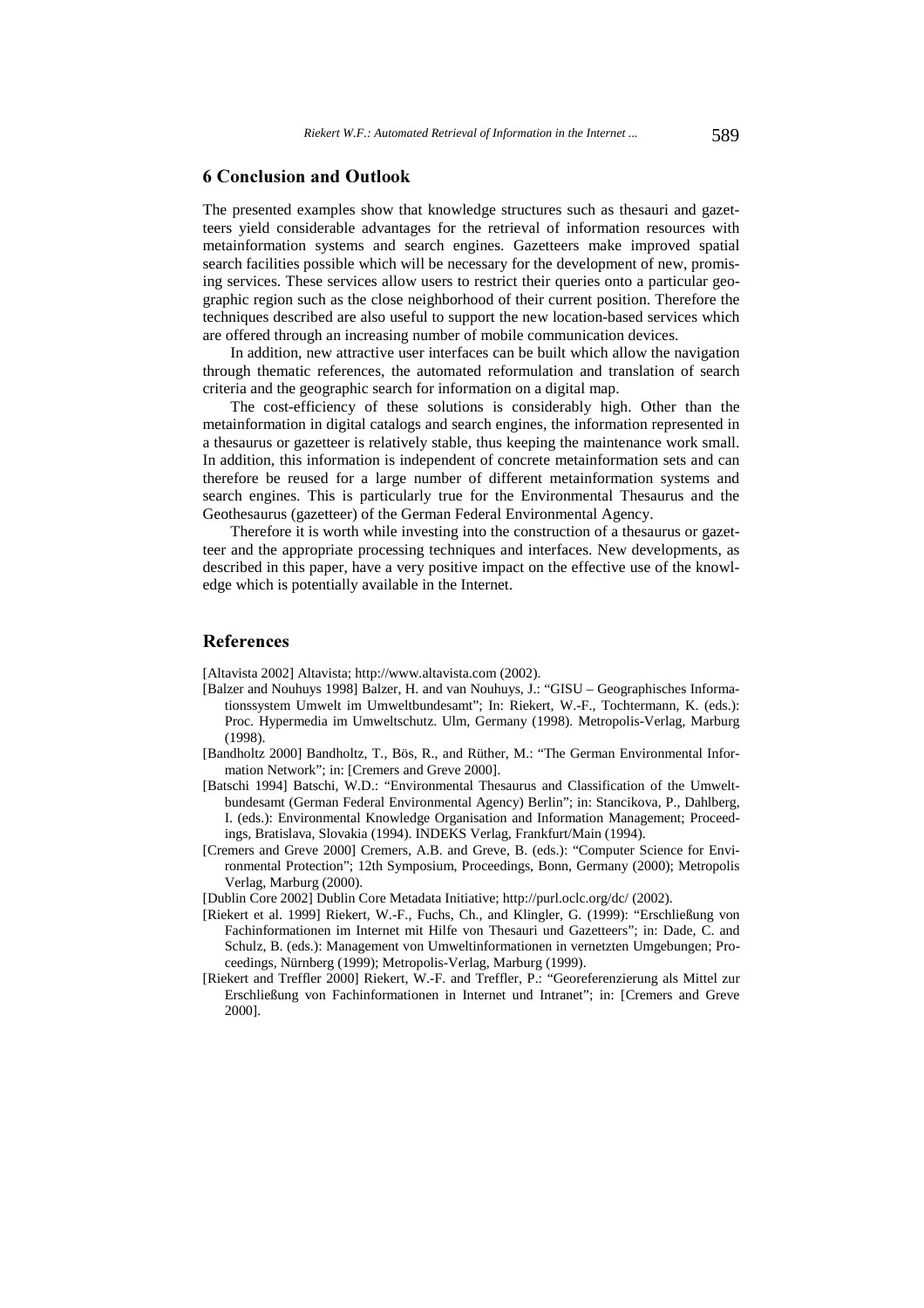## 6 Conclusion and Outlook

The presented examples show that knowledge structures such as thesauri and gazetteers yield considerable advantages for the retrieval of information resources with metainformation systems and search engines. Gazetteers make improved spatial search facilities possible which will be necessary for the development of new, promising services. These services allow users to restrict their queries onto a particular geographic region such as the close neighborhood of their current position. Therefore the techniques described are also useful to support the new location-based services which are offered through an increasing number of mobile communication devices.

In addition, new attractive user interfaces can be built which allow the navigation through thematic references, the automated reformulation and translation of search criteria and the geographic search for information on a digital map.

The cost-efficiency of these solutions is considerably high. Other than the metainformation in digital catalogs and search engines, the information represented in a thesaurus or gazetteer is relatively stable, thus keeping the maintenance work small. In addition, this information is independent of concrete metainformation sets and can therefore be reused for a large number of different metainformation systems and search engines. This is particularly true for the Environmental Thesaurus and the Geothesaurus (gazetteer) of the German Federal Environmental Agency.

Therefore it is worth while investing into the construction of a thesaurus or gazetteer and the appropriate processing techniques and interfaces. New developments, as described in this paper, have a very positive impact on the effective use of the knowledge which is potentially available in the Internet.

## References

[Altavista 2002] Altavista; http://www.altavista.com (2002).

- [Balzer and Nouhuys 1998] Balzer, H. and van Nouhuys, J.: "GISU Geographisches Informationssystem Umwelt im Umweltbundesamt"; In: Riekert, W.-F., Tochtermann, K. (eds.): Proc. Hypermedia im Umweltschutz. Ulm, Germany (1998). Metropolis-Verlag, Marburg (1998).
- [Bandholtz 2000] Bandholtz, T., Bös, R., and Rüther, M.: "The German Environmental Information Network"; in: [Cremers and Greve 2000].
- [Batschi 1994] Batschi, W.D.: "Environmental Thesaurus and Classification of the Umweltbundesamt (German Federal Environmental Agency) Berlin"; in: Stancikova, P., Dahlberg, I. (eds.): Environmental Knowledge Organisation and Information Management; Proceedings, Bratislava, Slovakia (1994). INDEKS Verlag, Frankfurt/Main (1994).
- [Cremers and Greve 2000] Cremers, A.B. and Greve, B. (eds.): "Computer Science for Environmental Protection"; 12th Symposium, Proceedings, Bonn, Germany (2000); Metropolis Verlag, Marburg (2000).
- [Dublin Core 2002] Dublin Core Metadata Initiative; http://purl.oclc.org/dc/ (2002).
- [Riekert et al. 1999] Riekert, W.-F., Fuchs, Ch., and Klingler, G. (1999): "Erschließung von Fachinformationen im Internet mit Hilfe von Thesauri und Gazetteers"; in: Dade, C. and Schulz, B. (eds.): Management von Umweltinformationen in vernetzten Umgebungen; Proceedings, Nürnberg (1999); Metropolis-Verlag, Marburg (1999).
- [Riekert and Treffler 2000] Riekert, W.-F. and Treffler, P.: "Georeferenzierung als Mittel zur Erschließung von Fachinformationen in Internet und Intranet"; in: [Cremers and Greve 2000].